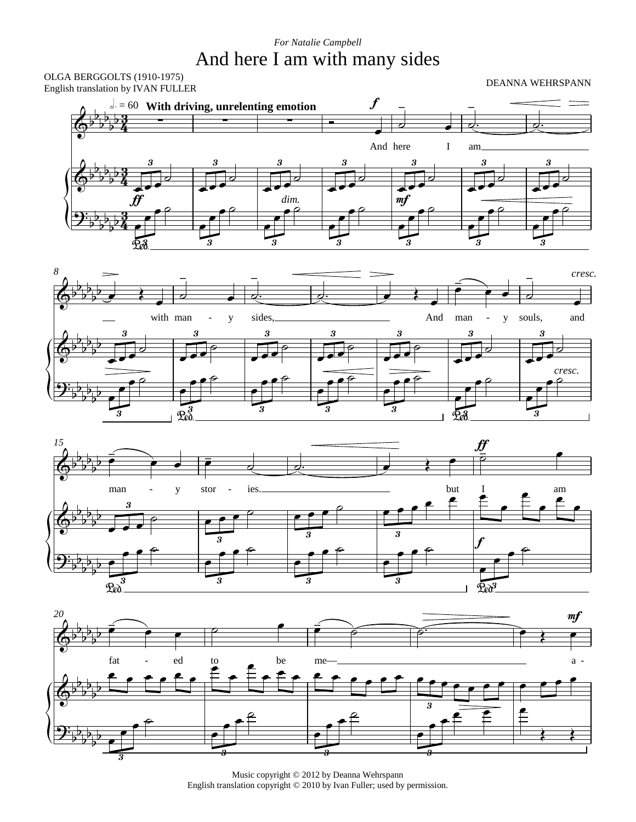## And here I am with many sides *For Natalie Campbell*

OLGA BERGGOLTS (1910-1975)<br>Erskich tanglick by WAN EU LEB English translation by IVAN FULLER









Music copyright © 2012 by Deanna Wehrspann English translation copyright © 2010 by Ivan Fuller; used by permission.